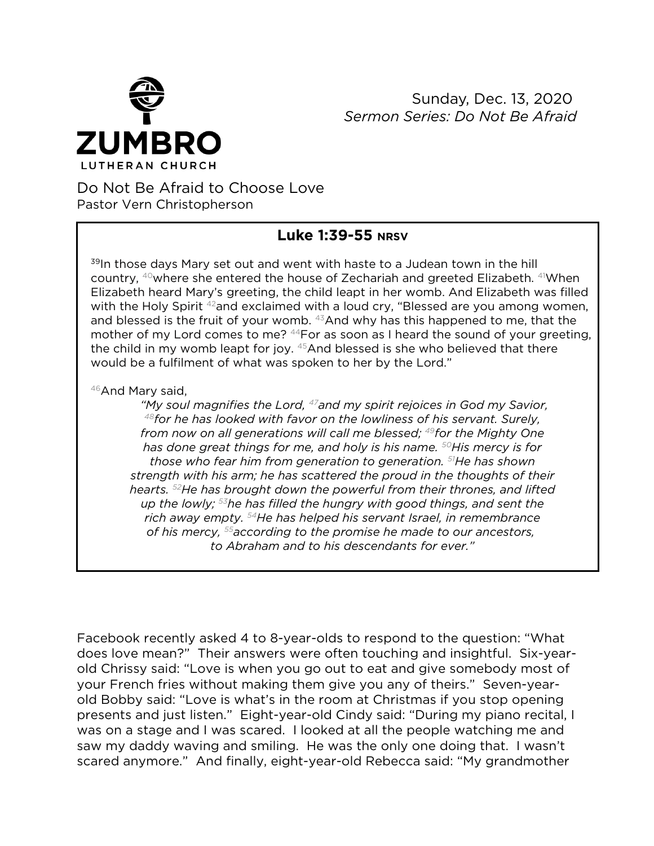

 Sunday, Dec. 13, 2020 *Sermon Series: Do Not Be Afraid*

## Do Not Be Afraid to Choose Love Pastor Vern Christopherson

## **Luke 1:39-55 NRSV**

<sup>39</sup>In those days Mary set out and went with haste to a Judean town in the hill country, 40where she entered the house of Zechariah and greeted Elizabeth. 41When Elizabeth heard Mary's greeting, the child leapt in her womb. And Elizabeth was filled with the Holy Spirit <sup>42</sup>and exclaimed with a loud cry, "Blessed are you among women, and blessed is the fruit of your womb.  $43$ And why has this happened to me, that the mother of my Lord comes to me? <sup>44</sup>For as soon as I heard the sound of your greeting, the child in my womb leapt for joy. <sup>45</sup>And blessed is she who believed that there would be a fulfilment of what was spoken to her by the Lord."

46And Mary said,

*"My soul magnifies the Lord, 47and my spirit rejoices in God my Savior, 48for he has looked with favor on the lowliness of his servant. Surely, from now on all generations will call me blessed; 49for the Mighty One has done great things for me, and holy is his name. 50His mercy is for those who fear him from generation to generation. 51He has shown strength with his arm; he has scattered the proud in the thoughts of their hearts. 52He has brought down the powerful from their thrones, and lifted up the lowly; 53he has filled the hungry with good things, and sent the rich away empty. 54He has helped his servant Israel, in remembrance of his mercy, 55according to the promise he made to our ancestors, to Abraham and to his descendants for ever."*

Facebook recently asked 4 to 8-year-olds to respond to the question: "What does love mean?" Their answers were often touching and insightful. Six-yearold Chrissy said: "Love is when you go out to eat and give somebody most of your French fries without making them give you any of theirs." Seven-yearold Bobby said: "Love is what's in the room at Christmas if you stop opening presents and just listen." Eight-year-old Cindy said: "During my piano recital, I was on a stage and I was scared. I looked at all the people watching me and saw my daddy waving and smiling. He was the only one doing that. I wasn't scared anymore." And finally, eight-year-old Rebecca said: "My grandmother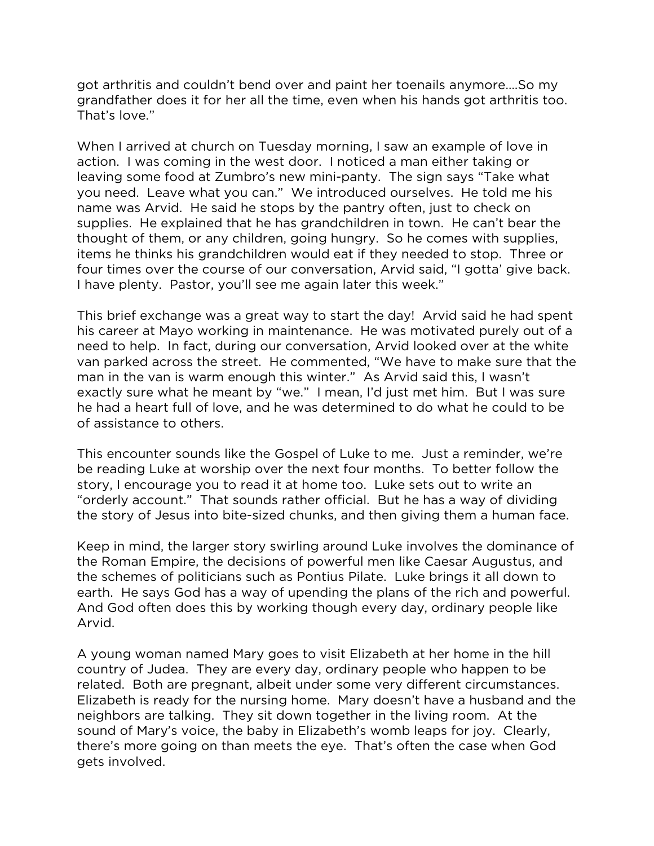got arthritis and couldn't bend over and paint her toenails anymore….So my grandfather does it for her all the time, even when his hands got arthritis too. That's love."

When I arrived at church on Tuesday morning, I saw an example of love in action. I was coming in the west door. I noticed a man either taking or leaving some food at Zumbro's new mini-panty. The sign says "Take what you need. Leave what you can." We introduced ourselves. He told me his name was Arvid. He said he stops by the pantry often, just to check on supplies. He explained that he has grandchildren in town. He can't bear the thought of them, or any children, going hungry. So he comes with supplies, items he thinks his grandchildren would eat if they needed to stop. Three or four times over the course of our conversation, Arvid said, "I gotta' give back. I have plenty. Pastor, you'll see me again later this week."

This brief exchange was a great way to start the day! Arvid said he had spent his career at Mayo working in maintenance. He was motivated purely out of a need to help. In fact, during our conversation, Arvid looked over at the white van parked across the street. He commented, "We have to make sure that the man in the van is warm enough this winter." As Arvid said this, I wasn't exactly sure what he meant by "we." I mean, I'd just met him. But I was sure he had a heart full of love, and he was determined to do what he could to be of assistance to others.

This encounter sounds like the Gospel of Luke to me. Just a reminder, we're be reading Luke at worship over the next four months. To better follow the story, I encourage you to read it at home too. Luke sets out to write an "orderly account." That sounds rather official. But he has a way of dividing the story of Jesus into bite-sized chunks, and then giving them a human face.

Keep in mind, the larger story swirling around Luke involves the dominance of the Roman Empire, the decisions of powerful men like Caesar Augustus, and the schemes of politicians such as Pontius Pilate. Luke brings it all down to earth. He says God has a way of upending the plans of the rich and powerful. And God often does this by working though every day, ordinary people like Arvid.

A young woman named Mary goes to visit Elizabeth at her home in the hill country of Judea. They are every day, ordinary people who happen to be related. Both are pregnant, albeit under some very different circumstances. Elizabeth is ready for the nursing home. Mary doesn't have a husband and the neighbors are talking. They sit down together in the living room. At the sound of Mary's voice, the baby in Elizabeth's womb leaps for joy. Clearly, there's more going on than meets the eye. That's often the case when God gets involved.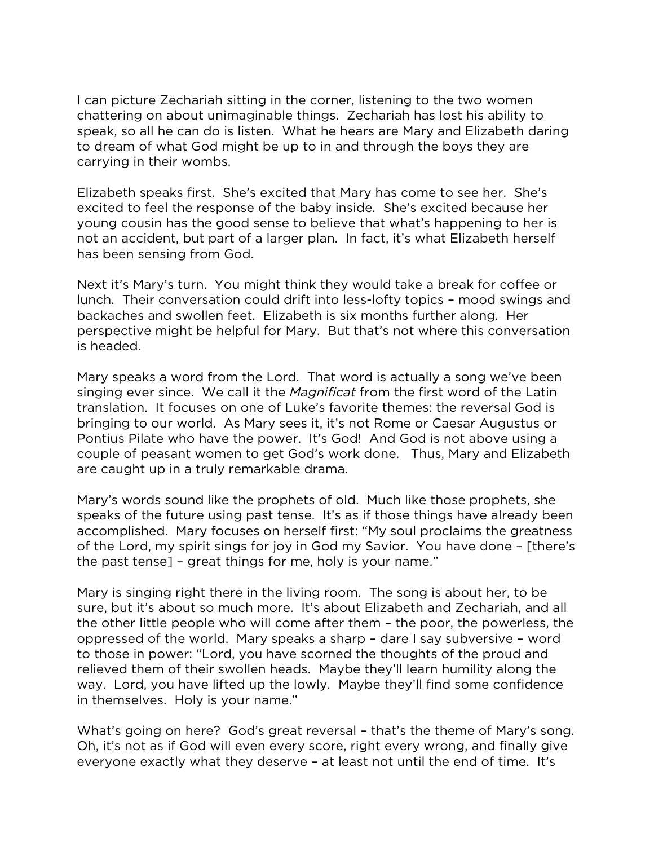I can picture Zechariah sitting in the corner, listening to the two women chattering on about unimaginable things. Zechariah has lost his ability to speak, so all he can do is listen. What he hears are Mary and Elizabeth daring to dream of what God might be up to in and through the boys they are carrying in their wombs.

Elizabeth speaks first. She's excited that Mary has come to see her. She's excited to feel the response of the baby inside. She's excited because her young cousin has the good sense to believe that what's happening to her is not an accident, but part of a larger plan. In fact, it's what Elizabeth herself has been sensing from God.

Next it's Mary's turn. You might think they would take a break for coffee or lunch. Their conversation could drift into less-lofty topics – mood swings and backaches and swollen feet. Elizabeth is six months further along. Her perspective might be helpful for Mary. But that's not where this conversation is headed.

Mary speaks a word from the Lord. That word is actually a song we've been singing ever since. We call it the *Magnificat* from the first word of the Latin translation.It focuses on one of Luke's favorite themes: the reversal God is bringing to our world. As Mary sees it, it's not Rome or Caesar Augustus or Pontius Pilate who have the power. It's God! And God is not above using a couple of peasant women to get God's work done. Thus, Mary and Elizabeth are caught up in a truly remarkable drama.

Mary's words sound like the prophets of old. Much like those prophets, she speaks of the future using past tense. It's as if those things have already been accomplished. Mary focuses on herself first: "My soul proclaims the greatness of the Lord, my spirit sings for joy in God my Savior. You have done – [there's the past tense] – great things for me, holy is your name."

Mary is singing right there in the living room. The song is about her, to be sure, but it's about so much more. It's about Elizabeth and Zechariah, and all the other little people who will come after them – the poor, the powerless, the oppressed of the world. Mary speaks a sharp – dare I say subversive – word to those in power: "Lord, you have scorned the thoughts of the proud and relieved them of their swollen heads. Maybe they'll learn humility along the way. Lord, you have lifted up the lowly. Maybe they'll find some confidence in themselves. Holy is your name."

What's going on here? God's great reversal – that's the theme of Mary's song. Oh, it's not as if God will even every score, right every wrong, and finally give everyone exactly what they deserve – at least not until the end of time. It's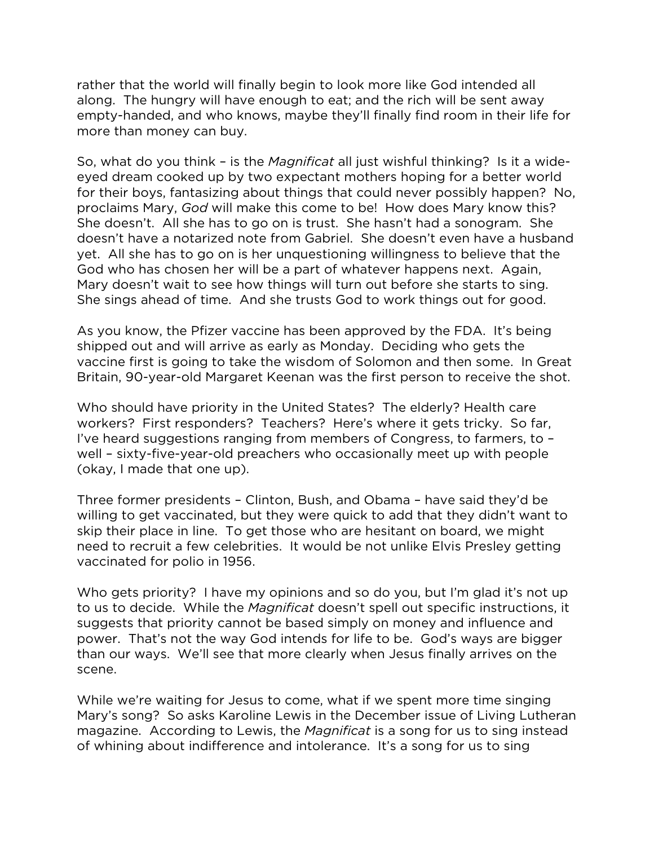rather that the world will finally begin to look more like God intended all along. The hungry will have enough to eat; and the rich will be sent away empty-handed, and who knows, maybe they'll finally find room in their life for more than money can buy.

So, what do you think – is the *Magnificat* all just wishful thinking? Is it a wideeyed dream cooked up by two expectant mothers hoping for a better world for their boys, fantasizing about things that could never possibly happen? No, proclaims Mary, *God* will make this come to be! How does Mary know this? She doesn't. All she has to go on is trust. She hasn't had a sonogram. She doesn't have a notarized note from Gabriel. She doesn't even have a husband yet. All she has to go on is her unquestioning willingness to believe that the God who has chosen her will be a part of whatever happens next. Again, Mary doesn't wait to see how things will turn out before she starts to sing. She sings ahead of time. And she trusts God to work things out for good.

As you know, the Pfizer vaccine has been approved by the FDA. It's being shipped out and will arrive as early as Monday. Deciding who gets the vaccine first is going to take the wisdom of Solomon and then some. In Great Britain, 90-year-old Margaret Keenan was the first person to receive the shot.

Who should have priority in the United States? The elderly? Health care workers? First responders? Teachers? Here's where it gets tricky. So far, I've heard suggestions ranging from members of Congress, to farmers, to – well – sixty-five-year-old preachers who occasionally meet up with people (okay, I made that one up).

Three former presidents – Clinton, Bush, and Obama – have said they'd be willing to get vaccinated, but they were quick to add that they didn't want to skip their place in line. To get those who are hesitant on board, we might need to recruit a few celebrities. It would be not unlike Elvis Presley getting vaccinated for polio in 1956.

Who gets priority? I have my opinions and so do you, but I'm glad it's not up to us to decide. While the *Magnificat* doesn't spell out specific instructions, it suggests that priority cannot be based simply on money and influence and power. That's not the way God intends for life to be. God's ways are bigger than our ways. We'll see that more clearly when Jesus finally arrives on the scene.

While we're waiting for Jesus to come, what if we spent more time singing Mary's song? So asks Karoline Lewis in the December issue of Living Lutheran magazine. According to Lewis, the *Magnificat* is a song for us to sing instead of whining about indifference and intolerance. It's a song for us to sing